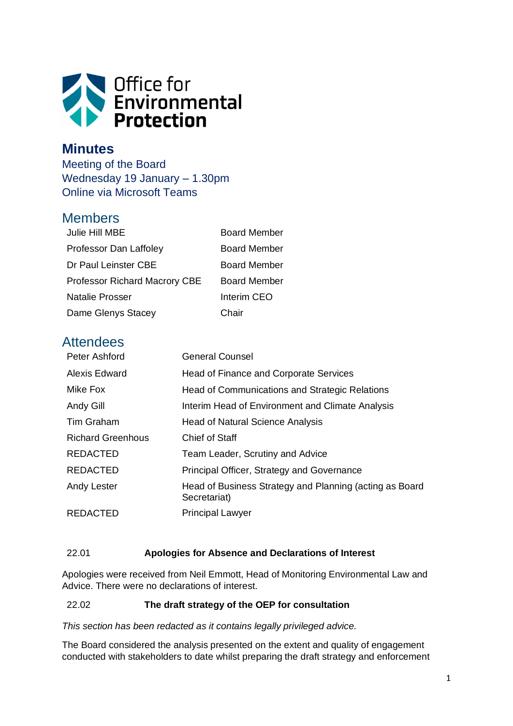

## **Minutes**

Meeting of the Board Wednesday 19 January – 1.30pm Online via Microsoft Teams

## Members

| Julie Hill MBE                       | <b>Board Member</b> |
|--------------------------------------|---------------------|
| Professor Dan Laffoley               | <b>Board Member</b> |
| Dr Paul Leinster CBE                 | <b>Board Member</b> |
| <b>Professor Richard Macrory CBE</b> | Board Member        |
| <b>Natalie Prosser</b>               | Interim CEO         |
| Dame Glenys Stacey                   | Chair               |

# **Attendees**

| Peter Ashford            | <b>General Counsel</b>                                                  |
|--------------------------|-------------------------------------------------------------------------|
| Alexis Edward            | Head of Finance and Corporate Services                                  |
| Mike Fox                 | Head of Communications and Strategic Relations                          |
| Andy Gill                | Interim Head of Environment and Climate Analysis                        |
| Tim Graham               | <b>Head of Natural Science Analysis</b>                                 |
| <b>Richard Greenhous</b> | <b>Chief of Staff</b>                                                   |
| <b>REDACTED</b>          | Team Leader, Scrutiny and Advice                                        |
| <b>REDACTED</b>          | Principal Officer, Strategy and Governance                              |
| Andy Lester              | Head of Business Strategy and Planning (acting as Board<br>Secretariat) |
| <b>REDACTED</b>          | <b>Principal Lawyer</b>                                                 |

### 22.01 **Apologies for Absence and Declarations of Interest**

Apologies were received from Neil Emmott, Head of Monitoring Environmental Law and Advice. There were no declarations of interest.

#### 22.02 **The draft strategy of the OEP for consultation**

*This section has been redacted as it contains legally privileged advice.*

The Board considered the analysis presented on the extent and quality of engagement conducted with stakeholders to date whilst preparing the draft strategy and enforcement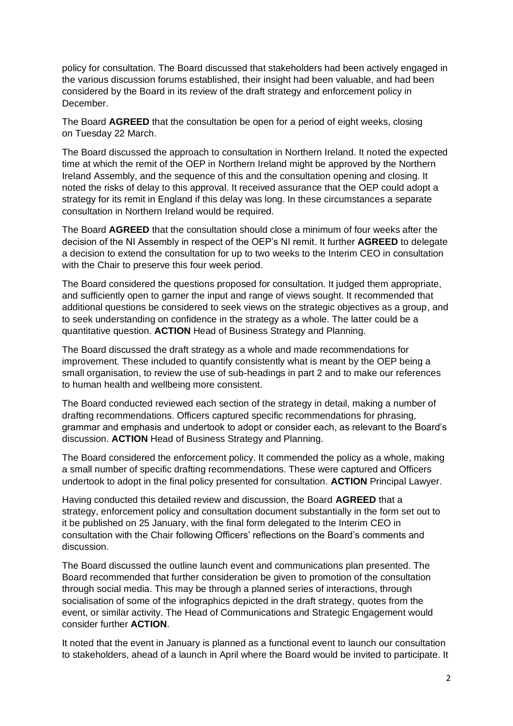policy for consultation. The Board discussed that stakeholders had been actively engaged in the various discussion forums established, their insight had been valuable, and had been considered by the Board in its review of the draft strategy and enforcement policy in December.

The Board **AGREED** that the consultation be open for a period of eight weeks, closing on Tuesday 22 March.

The Board discussed the approach to consultation in Northern Ireland. It noted the expected time at which the remit of the OEP in Northern Ireland might be approved by the Northern Ireland Assembly, and the sequence of this and the consultation opening and closing. It noted the risks of delay to this approval. It received assurance that the OEP could adopt a strategy for its remit in England if this delay was long. In these circumstances a separate consultation in Northern Ireland would be required.

The Board **AGREED** that the consultation should close a minimum of four weeks after the decision of the NI Assembly in respect of the OEP's NI remit. It further **AGREED** to delegate a decision to extend the consultation for up to two weeks to the Interim CEO in consultation with the Chair to preserve this four week period.

The Board considered the questions proposed for consultation. It judged them appropriate, and sufficiently open to garner the input and range of views sought. It recommended that additional questions be considered to seek views on the strategic objectives as a group, and to seek understanding on confidence in the strategy as a whole. The latter could be a quantitative question. **ACTION** Head of Business Strategy and Planning.

The Board discussed the draft strategy as a whole and made recommendations for improvement. These included to quantify consistently what is meant by the OEP being a small organisation, to review the use of sub-headings in part 2 and to make our references to human health and wellbeing more consistent.

The Board conducted reviewed each section of the strategy in detail, making a number of drafting recommendations. Officers captured specific recommendations for phrasing, grammar and emphasis and undertook to adopt or consider each, as relevant to the Board's discussion. **ACTION** Head of Business Strategy and Planning.

The Board considered the enforcement policy. It commended the policy as a whole, making a small number of specific drafting recommendations. These were captured and Officers undertook to adopt in the final policy presented for consultation. **ACTION** Principal Lawyer.

Having conducted this detailed review and discussion, the Board **AGREED** that a strategy, enforcement policy and consultation document substantially in the form set out to it be published on 25 January, with the final form delegated to the Interim CEO in consultation with the Chair following Officers' reflections on the Board's comments and discussion.

The Board discussed the outline launch event and communications plan presented. The Board recommended that further consideration be given to promotion of the consultation through social media. This may be through a planned series of interactions, through socialisation of some of the infographics depicted in the draft strategy, quotes from the event, or similar activity. The Head of Communications and Strategic Engagement would consider further **ACTION**.

It noted that the event in January is planned as a functional event to launch our consultation to stakeholders, ahead of a launch in April where the Board would be invited to participate. It